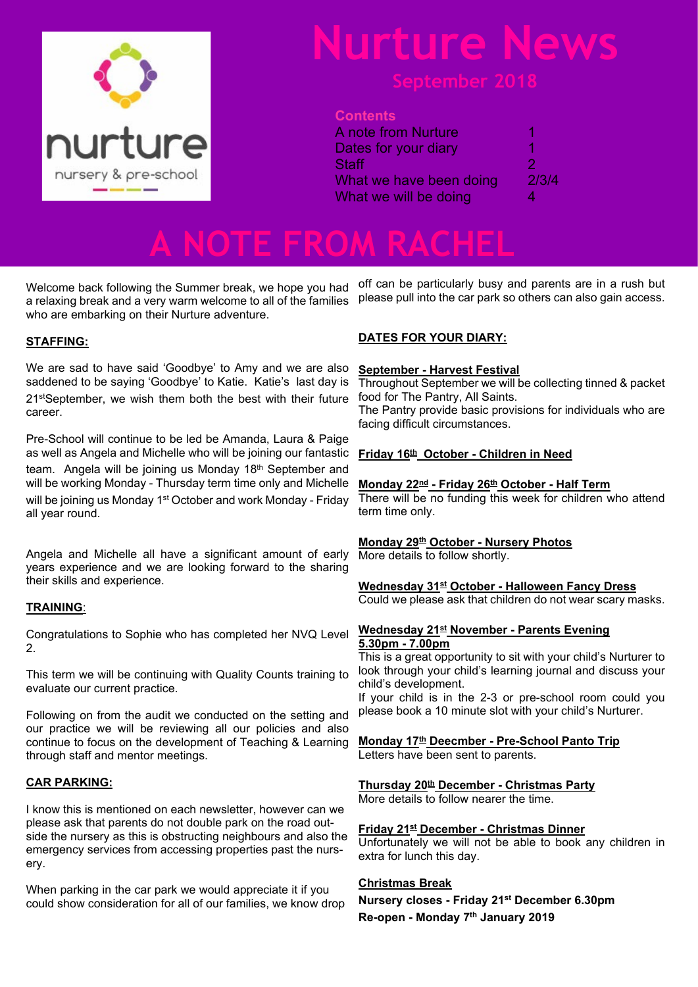

#### **Contents**

| A note from Nurture     |       |
|-------------------------|-------|
| Dates for your diary    |       |
| <b>Staff</b>            | 2     |
| What we have been doing | 2/3/4 |
| What we will be doing   | Λ     |

**A NOTE FROM RACHEL**

Welcome back following the Summer break, we hope you had a relaxing break and a very warm welcome to all of the families who are embarking on their Nurture adventure.

#### **STAFFING:**

We are sad to have said 'Goodbye' to Amy and we are also saddened to be saying 'Goodbye' to Katie. Katie's last day is 21<sup>st</sup>September, we wish them both the best with their future career.

Pre-School will continue to be led be Amanda, Laura & Paige as well as Angela and Michelle who will be joining our fantastic team. Angela will be joining us Monday 18<sup>th</sup> September and will be working Monday - Thursday term time only and Michelle will be joining us Monday 1<sup>st</sup> October and work Monday - Friday all year round.

Angela and Michelle all have a significant amount of early years experience and we are looking forward to the sharing their skills and experience.

#### **TRAINING**:

Congratulations to Sophie who has completed her NVQ Level 2.

This term we will be continuing with Quality Counts training to evaluate our current practice.

Following on from the audit we conducted on the setting and our practice we will be reviewing all our policies and also continue to focus on the development of Teaching & Learning through staff and mentor meetings.

#### **CAR PARKING:**

I know this is mentioned on each newsletter, however can we please ask that parents do not double park on the road outside the nursery as this is obstructing neighbours and also the emergency services from accessing properties past the nursery.

When parking in the car park we would appreciate it if you could show consideration for all of our families, we know drop off can be particularly busy and parents are in a rush but please pull into the car park so others can also gain access.

#### **DATES FOR YOUR DIARY:**

#### **September - Harvest Festival**

Throughout September we will be collecting tinned & packet food for The Pantry, All Saints. The Pantry provide basic provisions for individuals who are facing difficult circumstances.

#### **Friday 16th October - Children in Need**

#### **Monday 22nd - Friday 26th October - Half Term**

There will be no funding this week for children who attend term time only.

#### **Monday 29th October - Nursery Photos**

More details to follow shortly.

#### **Wednesday 31st October - Halloween Fancy Dress**

Could we please ask that children do not wear scary masks.

#### **Wednesday 21st November - Parents Evening 5.30pm - 7.00pm**

This is a great opportunity to sit with your child's Nurturer to look through your child's learning journal and discuss your child's development.

If your child is in the 2-3 or pre-school room could you please book a 10 minute slot with your child's Nurturer.

#### **Monday 17th Deecmber - Pre-School Panto Trip**

Letters have been sent to parents.

#### **Thursday 20th December - Christmas Party**

More details to follow nearer the time.

#### **Friday 21st December - Christmas Dinner**

Unfortunately we will not be able to book any children in extra for lunch this day.

#### **Christmas Break**

**Nursery closes - Friday 21st December 6.30pm Re-open - Monday 7th January 2019**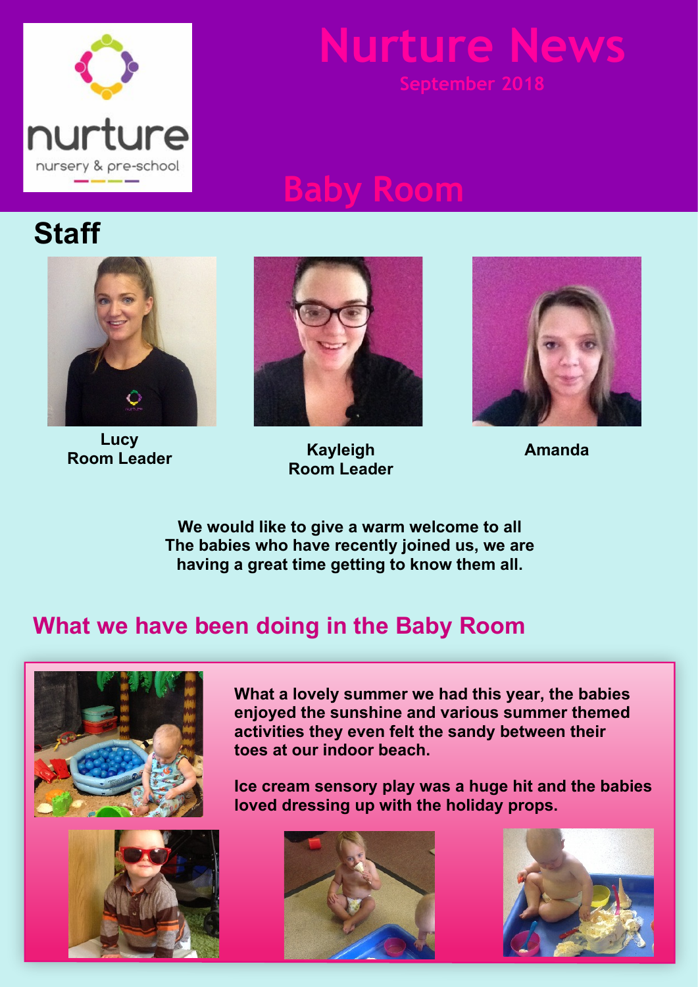

## **Baby Room**

## **Staff**



**Lucy Room Leader**



**Kayleigh Amanda Room Leader**



**We would like to give a warm welcome to all The babies who have recently joined us, we are having a great time getting to know them all.**

### **What we have been doing in the Baby Room**





**What a lovely summer we had this year, the babies enjoyed the sunshine and various summer themed activities they even felt the sandy between their toes at our indoor beach.**

**Ice cream sensory play was a huge hit and the babies loved dressing up with the holiday props.**



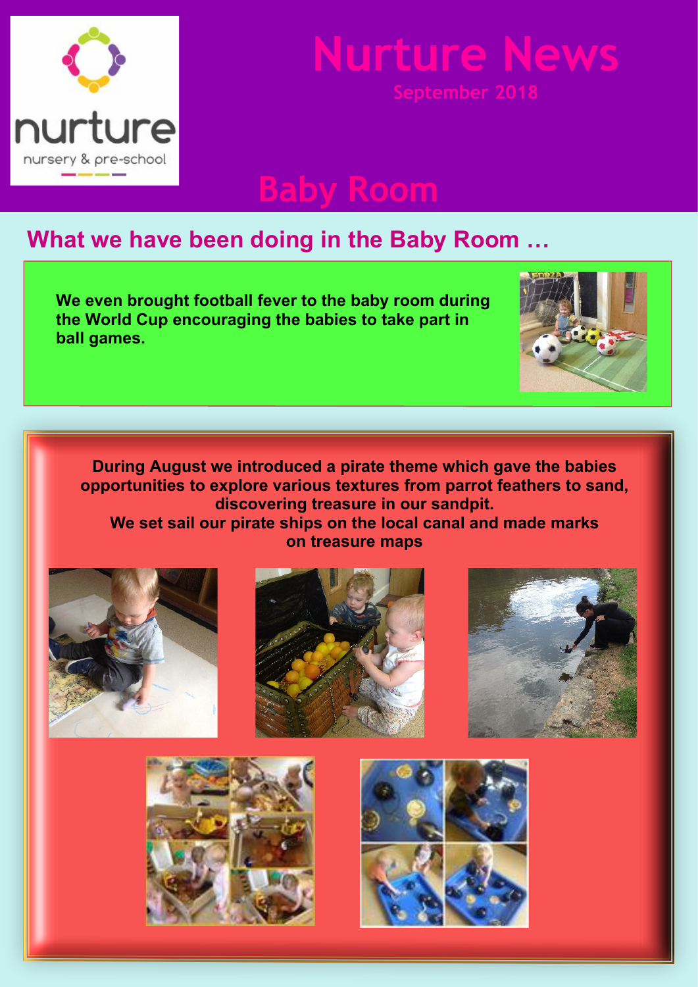

## **Baby Room**

### **What we have been doing in the Baby Room …**

**We even brought football fever to the baby room during the World Cup encouraging the babies to take part in ball games.**



**on treasure maps**